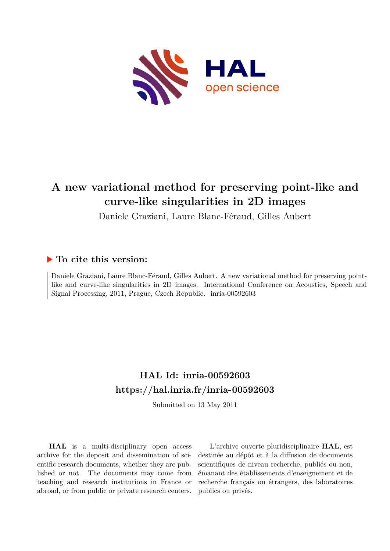

# **A new variational method for preserving point-like and curve-like singularities in 2D images**

Daniele Graziani, Laure Blanc-Féraud, Gilles Aubert

## **To cite this version:**

Daniele Graziani, Laure Blanc-Féraud, Gilles Aubert. A new variational method for preserving pointlike and curve-like singularities in 2D images. International Conference on Acoustics, Speech and Signal Processing, 2011, Prague, Czech Republic. inria-00592603

## **HAL Id: inria-00592603 <https://hal.inria.fr/inria-00592603>**

Submitted on 13 May 2011

**HAL** is a multi-disciplinary open access archive for the deposit and dissemination of scientific research documents, whether they are published or not. The documents may come from teaching and research institutions in France or abroad, or from public or private research centers.

L'archive ouverte pluridisciplinaire **HAL**, est destinée au dépôt et à la diffusion de documents scientifiques de niveau recherche, publiés ou non, émanant des établissements d'enseignement et de recherche français ou étrangers, des laboratoires publics ou privés.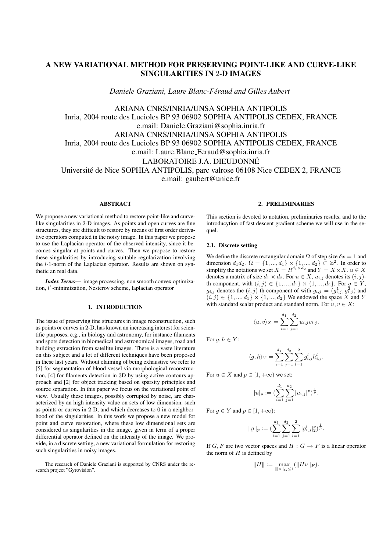### A NEW VARIATIONAL METHOD FOR PRESERVING POINT-LIKE AND CURVE-LIKE SINGULARITIES IN 2-D IMAGES

*Daniele Graziani, Laure Blanc-Feraud and Gilles Aubert ´*

ARIANA CNRS/INRIA/UNSA SOPHIA ANTIPOLIS Inria, 2004 route des Lucioles BP 93 06902 SOPHIA ANTIPOLIS CEDEX, FRANCE e.mail: Daniele.Graziani@sophia.inria.fr ARIANA CNRS/INRIA/UNSA SOPHIA ANTIPOLIS Inria, 2004 route des Lucioles BP 93 06902 SOPHIA ANTIPOLIS CEDEX, FRANCE e.mail: Laure.Blanc Feraud@sophia.inria.fr LABORATOIRE J.A. DIEUDONNE´ Universite de Nice SOPHIA ANTIPOLIS, parc valrose 06108 Nice CEDEX 2, FRANCE ´ e.mail: gaubert@unice.fr

#### **ABSTRACT**

We propose a new variational method to restore point-like and curvelike singularities in 2-D images. As points and open curves are fine structures, they are difficult to restore by means of first order derivative operators computed in the noisy image. In this paper we propose to use the Laplacian operator of the observed intensity, since it becomes singular at points and curves. Then we propose to restore these singularities by introducing suitable regularization involving the l-1-norm of the Laplacian operator. Results are shown on synthetic an real data.

*Index Terms*— image processing, non smooth convex optimization,  $l<sup>1</sup>$ -minimization, Nesterov scheme, laplacian operator

#### 1. INTRODUCTION

The issue of preserving fine structures in image reconstruction, such as points or curves in 2-D, has known an increasing interest for scientific purposes, e.g., in biology and astronomy, for instance filaments and spots detection in biomedical and astronomical images, road and building extraction from satellite images. There is a vaste literature on this subject and a lot of different techniques have been proposed in these last years. Without claiming of being exhaustive we refer to [5] for segmentation of blood vessel via morphological reconstruction, [4] for filaments detection in 3D by using active contours approach and [2] for object tracking based on sparsity principles and source separation. In this paper we focus on the variational point of view. Usually these images, possibly corrupted by noise, are characterized by an high intensity value on sets of low dimension, such as points or curves in 2-D, and which decreases to 0 in a neighborhood of the singularities. In this work we propose a new model for point and curve restoration, where these low dimensional sets are considered as singularities in the image, given in term of a proper differential operator defined on the intensity of the image. We provide, in a discrete setting, a new variational formulation for restoring such singularities in noisy images.

### 2. PRELIMINARIES

This section is devoted to notation, preliminaries results, and to the introducytion of fast descent gradient scheme we will use in the sequel.

#### 2.1. Discrete setting

We define the discrete rectangular domain  $\Omega$  of step size  $\delta x = 1$  and dimension  $d_1d_2$ .  $\Omega = \{1, ..., d_1\} \times \{1, ..., d_2\} \subset \mathbb{Z}^2$ . In order to simplify the notations we set  $X = R^{d_1 \times d_2}$  and  $Y = X \times X$ .  $u \in X$ denotes a matrix of size  $d_1 \times d_2$ . For  $u \in X$ ,  $u_{i,j}$  denotes its  $(i, j)$ th component, with  $(i, j) \in \{1, ..., d_1\} \times \{1, ..., d_2\}$ . For  $g \in Y$ ,  $g_{i,j}$  denotes the  $(i, j)$ -th component of with  $g_{i,j} = (g_{i,j}^1, g_{i,j}^2)$  and  $(i, j) \in \{1, ..., d_1\} \times \{1, ..., d_2\}$  We endowed the space X and Y with standard scalar product and standard norm. For  $u, v \in X$ :

$$
\langle u, v \rangle_X = \sum_{i=1}^{d_1} \sum_{j=1}^{d_2} u_{i,j} v_{i,j}.
$$

For  $g, h \in Y$ :

$$
\langle g, h \rangle_Y = \sum_{i=1}^{d_1} \sum_{j=1}^{d_2} \sum_{l=1}^2 g_{i,j}^l h_{i,j}^l.
$$

For  $u \in X$  and  $p \in [1, +\infty)$  we set:

$$
|u|_p := \left(\sum_{i=1}^{d_1} \sum_{j=1}^{d_2} |u_{i,j}|^p\right)^{\frac{1}{p}}.
$$

For  $g \in Y$  and  $p \in [1, +\infty)$ :

$$
||g||_p := \left(\sum_{i=1}^{d_1} \sum_{j=1}^{d_2} \sum_{l=1}^2 |g_{i,j}^l|_2^p\right)^{\frac{1}{p}}.
$$

If G, F are two vector spaces and  $H : G \to F$  is a linear operator the norm of  $H$  is defined by

$$
||H||:=\max_{|||u||_G\le 1} (||Hu||_F).
$$

The research of Daniele Graziani is supported by CNRS under the research project "Gyrovision".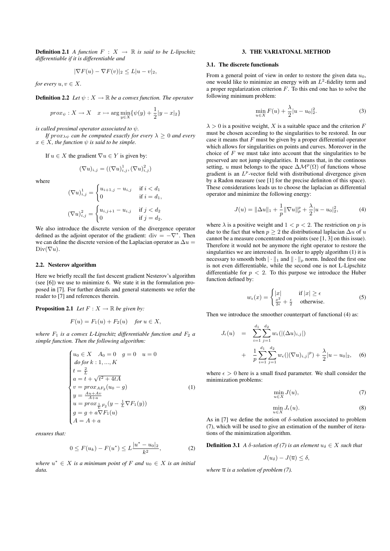**Definition 2.1** *A function*  $F : X \rightarrow \mathbb{R}$  *is said to be L-lipschitz differentiable if it is differentiable and*

$$
|\nabla F(u) - \nabla F(v)|_2 \le L|u - v|_2,
$$

*for every*  $u, v \in X$ .

**Definition 2.2** *Let*  $\psi: X \to \mathbb{R}$  *be a convex function. The operator* 

$$
prox_{\psi}: X \to X \quad x \to \arg\min_{y \in X} {\psi(y) + \frac{1}{2}|y - x|_2}
$$

*is called proximal operator associated to* ψ*.*

*If*  $prox_{\lambda\psi}$  *can be computed exactly for every*  $\lambda > 0$  *and every*  $x \in X$ , the function  $\psi$  is said to be simple.

If  $u \in X$  the gradient  $\nabla u \in Y$  is given by:

$$
(\nabla u)_{i,j} = ((\nabla u)_{i,j}^1, (\nabla u)_{i,j}^2)
$$

where

$$
(\nabla u)_{i,j}^1 = \begin{cases} u_{i+1,j} - u_{i,j} & \text{if } i < d_1 \\ 0 & \text{if } i = d_1, \end{cases}
$$
  

$$
(\nabla u)_{i,j}^2 = \begin{cases} u_{i,j+1} - u_{i,j} & \text{if } j < d_2 \\ 0 & \text{if } j = d_2. \end{cases}
$$

We also introduce the discrete version of the divergence operator defined as the adjoint operator of the gradient: div =  $-\nabla^*$ . Then we can define the discrete version of the Laplacian operator as  $\Delta u =$  $Div(\nabla u)$ .

#### 2.2. Nesterov algorithm

Here we briefly recall the fast descent gradient Nesterov's algorithm (see [6]) we use to minimize 6. We state it in the formulation proposed in [7]. For further details and general statements we refer the reader to [7] and references therein.

**Proposition 2.1** *Let*  $F: X \to \mathbb{R}$  *be given by:* 

$$
F(u) = F_1(u) + F_2(u) \quad \text{for } u \in X,
$$

*where*  $F_1$  *is a convex L-Lipschitz differentiable function and*  $F_2$  *a simple function. Then the following algorithm:*

$$
\begin{cases}\nu_0 \in X & A_0 = 0 \quad g = 0 \quad u = 0 \\
\text{dofor } k: 1, ..., K \\
t = \frac{2}{L} \\
a = t + \sqrt{t^2 + 4tA} \\
v = \text{prox}_{AF_2}(u_0 - g) \\
y = \frac{Au + Av}{A + a} \\
u = \text{prox}_{\frac{1}{L}F_2}(y - \frac{1}{L} \nabla F_1(y)) \\
g = g + a \nabla F_1(u) \\
A = A + a\n\end{cases} \tag{1}
$$

*ensures that:*

$$
0 \le F(u_k) - F(u^*) \le L \frac{|u^* - u_0|_2}{k^2}, \tag{2}
$$

 $where \ u^* \in X$  *is a minimum point of*  $F$  *and*  $u_0 \in X$  *is an initial data.*

#### 3. THE VARIATONAL METHOD

#### 3.1. The discrete functionals

From a general point of view in order to restore the given data  $u_0$ , one would like to minimize an energy with an  $L^2$ -fidelity term and a proper regularization criterion  $F$ . To this end one has to solve the following minimum problem:

$$
\min_{u \in X} F(u) + \frac{\lambda}{2} |u - u_0|_2^2.
$$
 (3)

 $\lambda > 0$  is a positive weight, X is a suitable space and the criterion F must be chosen according to the singularities to be restored. In our case it means that  $F$  must be given by a proper differential operator which allows for singularities on points and curves. Moreover in the choice of  $F$  we must take into account that the singularities to be preserved are not jump singularities. It means that, in the continous setting, u must belongs to the space  $\Delta M^p(\Omega)$  of functions whose gradient is an  $L^p$ -vector field with distributional divergence given by a Radon measure (see [1] for the precise definiton of this space). These considerations leads us to choose the laplacian as differential operator and minimize the following energy:

$$
J(u) = \|\Delta u\|_1 + \frac{1}{p} \|\nabla u\|_p^p + \frac{\lambda}{2} |u - u_0|_2^2,
$$
 (4)

where  $\lambda$  is a positive weight and  $1 < p < 2$ . The restriction on p is due to the fact that when  $p > 2$  the distributional laplacian  $\Delta u$  of u cannot be a measure concentrated on points (see [1, 3] on this issue). Therefore it would not be anymore the right operator to restore the singularities we are interested in. In order to apply algorithm (1) it is necessary to smooth both  $\|\cdot\|_1$  and  $\|\cdot\|_p$  norm. Indeed the first one is not even differentiable, while the second one is not L-Lipschitz differentiable for  $p < 2$ . To this purpose we introduce the Huber function defined by:

$$
w_{\epsilon}(x) = \begin{cases} |x| & \text{if } |x| \ge \epsilon \\ \frac{x^2}{2\epsilon} + \frac{\epsilon}{2} & \text{otherwise.} \end{cases}
$$
 (5)

Then we introduce the smoother counterpart of functional (4) as:

$$
J_{\epsilon}(u) = \sum_{i=1}^{d_1} \sum_{j=1}^{d_2} w_{\epsilon}(|(\Delta u)_{i,j}|)
$$
  
+ 
$$
\frac{1}{p} \sum_{i=1}^{d_1} \sum_{j=1}^{d_2} w_{\epsilon}(|(\nabla u)_{i,j}|^p) + \frac{\lambda}{2}|u - u_0|_2,
$$
 (6)

where  $\epsilon > 0$  here is a small fixed parameter. We shall consider the minimization problems:

$$
\min_{u \in X} J(u),\tag{7}
$$

$$
\min_{u \in X} J_{\epsilon}(u). \tag{8}
$$

As in [7] we define the notion of  $\delta$ -solution associated to problem (7), which will be used to give an estimation of the number of iterations of the minimization algorithm.

**Definition 3.1** *A*  $\delta$ -solution of (7) is an element  $u_{\delta} \in X$  such that

$$
J(u_\delta)-J(\overline{u})\leq \delta,
$$

*where*  $\overline{u}$  *is a solution of problem* (7).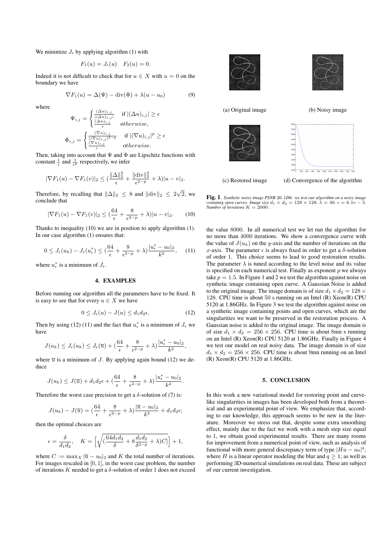We minimize  $J_{\epsilon}$  by applying algorithm (1) with

 $\langle \cdot \rangle$ 

$$
F_1(u) = J_{\epsilon}(u) \quad F_2(u) = 0.
$$

Indeed it is not difficult to check that for  $u \in X$  with  $u = 0$  on the boundary we have

$$
\nabla F_1(u) = \Delta(\Psi) - \text{div}(\Phi) + \lambda(u - u_0)
$$
\n(9)

where

$$
\Psi_{i,j} = \begin{cases}\n\frac{(\frac{\alpha u}{i,j})}{[(\Delta u)_{i,j}]} & \text{if } |(\Delta u)_{i,j}| \ge \epsilon \\
\frac{(\Delta u)_{i,j}}{\epsilon} & \text{otherwise,} \\
\Phi_{i,j} = \begin{cases}\n\frac{(\nabla u)_{i,j}}{[(\nabla u)_{i,j}|^2 - p]} & \text{if } |(\nabla u)_{i,j}|^p \ge \epsilon \\
\frac{(\nabla u)_{i,j}}{i} & \text{otherwise.} \n\end{cases}\n\end{cases}
$$

Then, taking into account that  $\Psi$  and  $\Phi$  are Lipschitz functions with constant  $\frac{1}{\epsilon}$  and  $\frac{1}{\epsilon^p}$  respectively, we infer

$$
|\nabla F_1(u) - \nabla F_1(v)|_2 \leq \left(\frac{\|\Delta\|_2^2}{\epsilon} + \frac{\|\text{div}\|_2^2}{\epsilon^{2-p}} + \lambda\right)|u - v|_2.
$$

Therefore, by recalling that  $\|\Delta\|_2 \leq 8$  and  $\|\text{div}\|_2 \leq 2\sqrt{2}$ , we conclude that

$$
|\nabla F_1(u) - \nabla F_1(v)|_2 \leq (\frac{64}{\epsilon} + \frac{8}{\epsilon^{2-p}} + \lambda)|u - v|_2.
$$
 (10)

Thanks to inequality (10) we are in position to apply algorithm (1). In our case algorithm (1) ensures that:

$$
0 \le J_{\epsilon}(u_k) - J_{\epsilon}(u_{\epsilon}^*) \le (\frac{64}{\epsilon} + \frac{8}{\epsilon^{2-p}} + \lambda) \frac{|u_{\epsilon}^* - u_0|_2}{k^2}, \quad (11)
$$

where  $u_{\epsilon}^*$  is a minimum of  $J_{\epsilon}$ .

#### 4. EXAMPLES

Before running our algorithm all the parameters have to be fixed. It is easy to see that for every  $u \in X$  we have

$$
0 \le J_{\epsilon}(u) - J(u) \le d_1 d_2 \epsilon. \tag{12}
$$

Then by using (12) (11) and the fact that  $u_{\epsilon}^*$  is a minimum of  $J_{\epsilon}$  we have

$$
J(u_k) \leq J_{\epsilon}(u_k) \leq J_{\epsilon}(\overline{u}) + (\frac{64}{\epsilon} + \frac{8}{\epsilon^{2-p}} + \lambda) \frac{|u_{\epsilon}^* - u_0|_2}{k^2},
$$

where  $\overline{u}$  is a minimum of J. By applying again bound (12) we deduce

$$
J(u_k) \leq J(\overline{u}) + d_1 d_2 \epsilon + \left(\frac{64}{\epsilon} + \frac{8}{\epsilon^{2-p}} + \lambda\right) \frac{|u_\epsilon^* - u_0|_2}{k^2}.
$$

Therefore the worst case precision to get a  $\delta$ -solution of (7) is:

$$
J(u_k) - J(\overline{u}) = \left(\frac{64}{\epsilon} + \frac{8}{\epsilon^{2-p}} + \lambda\right) \frac{|\overline{u} - u_0|_2}{k^2} + d_1 d_2 \epsilon;
$$

then the optimal choices are

$$
\epsilon = \frac{\delta}{d_1 d_2}, \quad K = \left[ \sqrt{\left( \frac{64d_1 d_2}{\delta} + 8 \frac{d_1 d_2}{\delta^{2-p}} + \lambda \right) C} \right] + 1,
$$

where  $C := \max_X |\overline{u} - u_0|_2$  and K the total number of iterations. For images rescaled in  $[0, 1]$ , in the worst case problem, the number of iterations K needed to get a  $\delta$ -solution of order 1 does not exceed



Fig. 1. *Synthetic noisy image PSNR* 26.1*Db: we test our algorithm on a noisy image containig open curves. Image size*  $d_1 \times d_2 = 128 \times 128$ .  $\lambda = 40$ .  $\epsilon = 6.1e - 5$ . *Number of iterations*  $K = 2000$ .

the value 8000. In all numerical test we let run the algorithm for no more than 4000 iterations. We show a convergence curve with the value of  $J(u_k)$  on the y-axis and the number of iterations on the x-axis. The parameter  $\epsilon$  is always fixed in order to get a  $\delta$ -solution of order 1. This choice seems to lead to good restoration results. The parameter  $\lambda$  is tuned according to the level noise and its value is specified on each numerical test. Finally as exponent  $p$  we always take  $p = 1.5$ . In Figure 1 and 2 we test the algorithm against noise on synthetic image containing open curve. A Gaussian Noise is added to the original image. The image domain is of size  $d_1 \times d_2 = 128 \times$ 128. CPU time is about 50 s running on an Intel (R) Xeon(R) CPU 5120 at 1.86GHz. In Figure 3 we test the algorithm against noise on a synthetic image containing points and open curves, which are the singularities we want to be preserved in the restoration process. A Gaussian noise is added to the original image. The image domain is of size  $d_1 \times d_2 = 256 \times 256$ . CPU time is about 8mn s running on an Intel (R) Xeon(R) CPU 5120 at 1.86GHz. Finally in Figure 4 we test our model on real noisy data. The image domain is of size  $d_1 \times d_2 = 256 \times 256$ . CPU time is about 9mn running on an Intel (R) Xeon(R) CPU 5120 at 1.86GHz.

#### 5. CONCLUSION

In this work a new variational model for restoring point and curvelike singularities in images has been developed both from a theoretical and an experimental point of view. We emphasize that, according to our knowledge, this approach seems to be new in the literature. Moreover we stress out that, despite some extra smoothing effect, mainly due to the fact we work with a mesh step size equal to 1, we obtain good experimental results. There are many rooms for improvement from a numerical point of view, such as analysis of functional with more general discrepancy term of type  $|Hu - u_0|^q$ , where H is a linear operator modeling the blur and  $q \geq 1$ ; as well as performing 3D-numerical simulations on real data. These are subject of our current investigation.